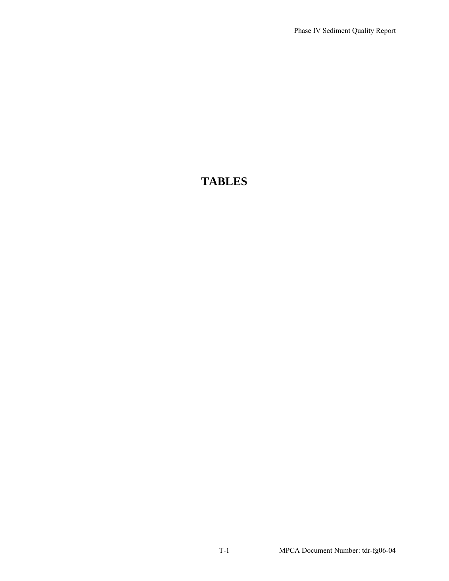# **TABLES**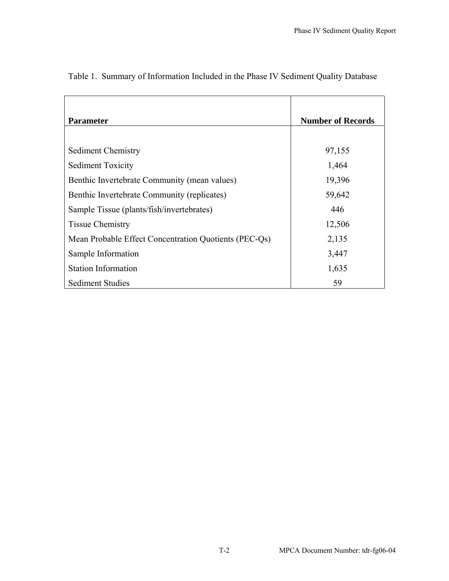| <b>Parameter</b>                                      | <b>Number of Records</b> |
|-------------------------------------------------------|--------------------------|
|                                                       |                          |
| Sediment Chemistry                                    | 97,155                   |
| <b>Sediment Toxicity</b>                              | 1,464                    |
| Benthic Invertebrate Community (mean values)          | 19,396                   |
| Benthic Invertebrate Community (replicates)           | 59,642                   |
| Sample Tissue (plants/fish/invertebrates)             | 446                      |
| <b>Tissue Chemistry</b>                               | 12,506                   |
| Mean Probable Effect Concentration Quotients (PEC-Qs) | 2,135                    |
| Sample Information                                    | 3,447                    |
| <b>Station Information</b>                            | 1,635                    |
| <b>Sediment Studies</b>                               | 59                       |

# Table 1. Summary of Information Included in the Phase IV Sediment Quality Database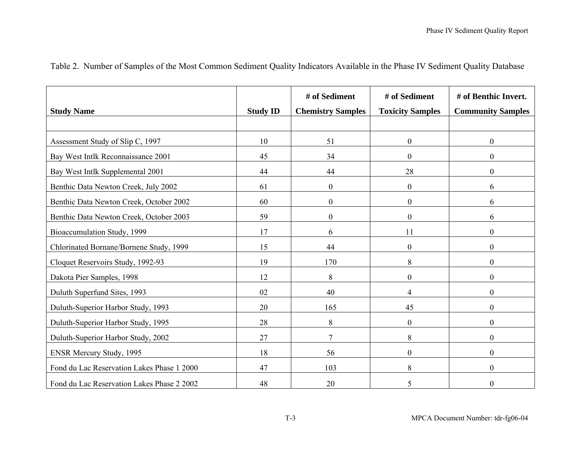|                                            |                 | # of Sediment            | # of Sediment           | # of Benthic Invert.     |
|--------------------------------------------|-----------------|--------------------------|-------------------------|--------------------------|
| <b>Study Name</b>                          | <b>Study ID</b> | <b>Chemistry Samples</b> | <b>Toxicity Samples</b> | <b>Community Samples</b> |
|                                            |                 |                          |                         |                          |
| Assessment Study of Slip C, 1997           | 10              | 51                       | $\overline{0}$          | $\boldsymbol{0}$         |
| Bay West Intlk Reconnaissance 2001         | 45              | 34                       | $\overline{0}$          | $\boldsymbol{0}$         |
| Bay West Intlk Supplemental 2001           | 44              | 44                       | 28                      | $\boldsymbol{0}$         |
| Benthic Data Newton Creek, July 2002       | 61              | $\boldsymbol{0}$         | $\boldsymbol{0}$        | 6                        |
| Benthic Data Newton Creek, October 2002    | 60              | $\mathbf{0}$             | $\overline{0}$          | 6                        |
| Benthic Data Newton Creek, October 2003    | 59              | $\boldsymbol{0}$         | $\boldsymbol{0}$        | 6                        |
| Bioaccumulation Study, 1999                | 17              | 6                        | 11                      | $\boldsymbol{0}$         |
| Chlorinated Bornane/Bornene Study, 1999    | 15              | 44                       | $\boldsymbol{0}$        | $\boldsymbol{0}$         |
| Cloquet Reservoirs Study, 1992-93          | 19              | 170                      | 8                       | $\boldsymbol{0}$         |
| Dakota Pier Samples, 1998                  | 12              | $8\,$                    | $\boldsymbol{0}$        | $\boldsymbol{0}$         |
| Duluth Superfund Sites, 1993               | 02              | 40                       | 4                       | $\boldsymbol{0}$         |
| Duluth-Superior Harbor Study, 1993         | 20              | 165                      | 45                      | $\boldsymbol{0}$         |
| Duluth-Superior Harbor Study, 1995         | 28              | 8                        | $\boldsymbol{0}$        | $\boldsymbol{0}$         |
| Duluth-Superior Harbor Study, 2002         | 27              | $\tau$                   | 8                       | $\boldsymbol{0}$         |
| ENSR Mercury Study, 1995                   | 18              | 56                       | $\boldsymbol{0}$        | $\boldsymbol{0}$         |
| Fond du Lac Reservation Lakes Phase 1 2000 | 47              | 103                      | 8                       | $\boldsymbol{0}$         |
| Fond du Lac Reservation Lakes Phase 2 2002 | 48              | 20                       | 5                       | $\boldsymbol{0}$         |

Table 2. Number of Samples of the Most Common Sediment Quality Indicators Available in the Phase IV Sediment Quality Database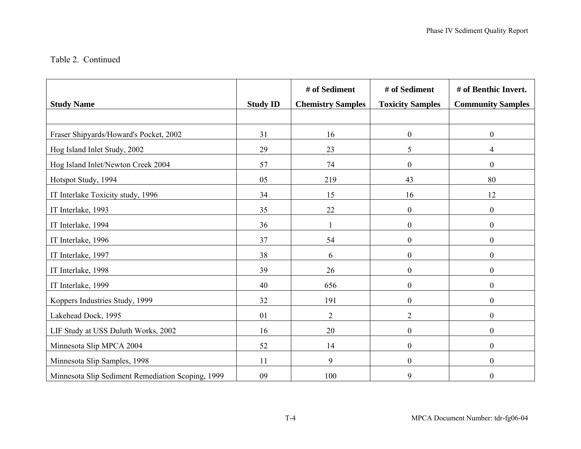#### Table 2. Continued

| <b>Study Name</b>                                 | <b>Study ID</b> | # of Sediment            | # of Sediment           | # of Benthic Invert.     |
|---------------------------------------------------|-----------------|--------------------------|-------------------------|--------------------------|
|                                                   |                 | <b>Chemistry Samples</b> | <b>Toxicity Samples</b> | <b>Community Samples</b> |
| Fraser Shipyards/Howard's Pocket, 2002            | 31              | 16                       | $\boldsymbol{0}$        | $\boldsymbol{0}$         |
| Hog Island Inlet Study, 2002                      | 29              | 23                       | 5                       | $\overline{4}$           |
| Hog Island Inlet/Newton Creek 2004                | 57              | 74                       | $\boldsymbol{0}$        | $\boldsymbol{0}$         |
| Hotspot Study, 1994                               | 05              | 219                      | 43                      | 80                       |
| IT Interlake Toxicity study, 1996                 | 34              | 15                       | 16                      | 12                       |
| IT Interlake, 1993                                | 35              | 22                       | $\boldsymbol{0}$        | $\overline{0}$           |
| IT Interlake, 1994                                | 36              |                          | $\boldsymbol{0}$        | $\boldsymbol{0}$         |
| IT Interlake, 1996                                | 37              | 54                       | $\boldsymbol{0}$        | $\boldsymbol{0}$         |
| IT Interlake, 1997                                | 38              | 6                        | $\boldsymbol{0}$        | $\boldsymbol{0}$         |
| IT Interlake, 1998                                | 39              | 26                       | $\boldsymbol{0}$        | $\boldsymbol{0}$         |
| IT Interlake, 1999                                | 40              | 656                      | $\boldsymbol{0}$        | $\boldsymbol{0}$         |
| Koppers Industries Study, 1999                    | 32              | 191                      | $\boldsymbol{0}$        | $\boldsymbol{0}$         |
| Lakehead Dock, 1995                               | 01              | $\overline{2}$           | $\overline{2}$          | $\boldsymbol{0}$         |
| LIF Study at USS Duluth Works, 2002               | 16              | 20                       | $\boldsymbol{0}$        | $\boldsymbol{0}$         |
| Minnesota Slip MPCA 2004                          | 52              | 14                       | $\boldsymbol{0}$        | $\boldsymbol{0}$         |
| Minnesota Slip Samples, 1998                      | 11              | 9                        | $\boldsymbol{0}$        | $\boldsymbol{0}$         |
| Minnesota Slip Sediment Remediation Scoping, 1999 | 09              | 100                      | 9                       | $\boldsymbol{0}$         |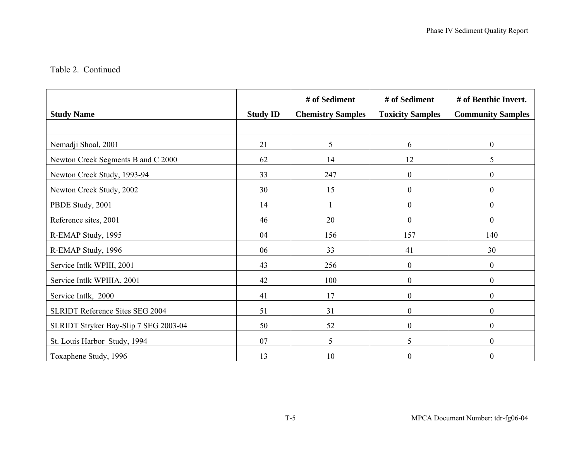#### Table 2. Continued

|                                        |                 | # of Sediment            | # of Sediment           | # of Benthic Invert.     |
|----------------------------------------|-----------------|--------------------------|-------------------------|--------------------------|
| <b>Study Name</b>                      | <b>Study ID</b> | <b>Chemistry Samples</b> | <b>Toxicity Samples</b> | <b>Community Samples</b> |
|                                        |                 |                          |                         |                          |
| Nemadji Shoal, 2001                    | 21              | 5                        | 6                       | $\boldsymbol{0}$         |
| Newton Creek Segments B and C 2000     | 62              | 14                       | 12                      | 5                        |
| Newton Creek Study, 1993-94            | 33              | 247                      | $\boldsymbol{0}$        | $\boldsymbol{0}$         |
| Newton Creek Study, 2002               | 30              | 15                       | $\boldsymbol{0}$        | $\boldsymbol{0}$         |
| PBDE Study, 2001                       | 14              |                          | $\boldsymbol{0}$        | $\boldsymbol{0}$         |
| Reference sites, 2001                  | 46              | 20                       | $\boldsymbol{0}$        | $\boldsymbol{0}$         |
| R-EMAP Study, 1995                     | 04              | 156                      | 157                     | 140                      |
| R-EMAP Study, 1996                     | 06              | 33                       | 41                      | 30                       |
| Service Intlk WPIII, 2001              | 43              | 256                      | $\mathbf{0}$            | $\boldsymbol{0}$         |
| Service Intlk WPIIIA, 2001             | 42              | 100                      | $\boldsymbol{0}$        | $\boldsymbol{0}$         |
| Service Intlk, 2000                    | 41              | 17                       | $\mathbf{0}$            | $\overline{0}$           |
| <b>SLRIDT Reference Sites SEG 2004</b> | 51              | 31                       | $\mathbf{0}$            | $\boldsymbol{0}$         |
| SLRIDT Stryker Bay-Slip 7 SEG 2003-04  | 50              | 52                       | $\boldsymbol{0}$        | $\boldsymbol{0}$         |
| St. Louis Harbor Study, 1994           | 07              | 5                        | 5                       | $\boldsymbol{0}$         |
| Toxaphene Study, 1996                  | 13              | 10                       | $\boldsymbol{0}$        | $\boldsymbol{0}$         |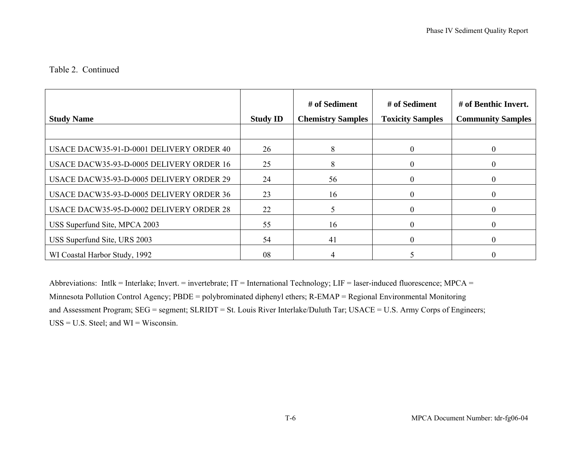#### Table 2. Continued

| <b>Study Name</b>                        | <b>Study ID</b> | # of Sediment<br><b>Chemistry Samples</b> | # of Sediment<br><b>Toxicity Samples</b> | # of Benthic Invert.<br><b>Community Samples</b> |
|------------------------------------------|-----------------|-------------------------------------------|------------------------------------------|--------------------------------------------------|
| USACE DACW35-91-D-0001 DELIVERY ORDER 40 | 26              | 8                                         |                                          | $\theta$                                         |
| USACE DACW35-93-D-0005 DELIVERY ORDER 16 | 25              | 8                                         |                                          |                                                  |
| USACE DACW35-93-D-0005 DELIVERY ORDER 29 | 24              | 56                                        |                                          |                                                  |
| USACE DACW35-93-D-0005 DELIVERY ORDER 36 | 23              | 16                                        | 0                                        |                                                  |
| USACE DACW35-95-D-0002 DELIVERY ORDER 28 | 22              | 5.                                        |                                          |                                                  |
| USS Superfund Site, MPCA 2003            | 55              | 16                                        |                                          |                                                  |
| USS Superfund Site, URS 2003             | 54              | 41                                        |                                          |                                                  |
| WI Coastal Harbor Study, 1992            | 08              |                                           |                                          |                                                  |

Abbreviations: Intlk = Interlake; Invert. = invertebrate; IT = International Technology; LIF = laser-induced fluorescence; MPCA = Minnesota Pollution Control Agency; PBDE = polybrominated diphenyl ethers; R-EMAP = Regional Environmental Monitoring and Assessment Program; SEG = segment; SLRIDT = St. Louis River Interlake/Duluth Tar; USACE = U.S. Army Corps of Engineers;  $USS = U.S. Steel$ ; and  $WI = Wisconsin.$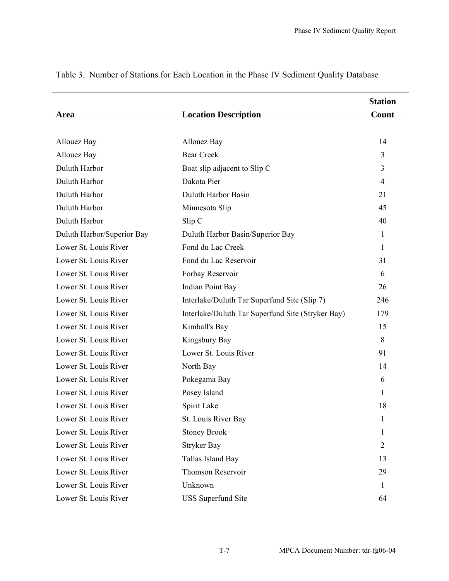|                            |                                                   | <b>Station</b> |
|----------------------------|---------------------------------------------------|----------------|
| Area                       | <b>Location Description</b>                       | Count          |
|                            |                                                   |                |
| <b>Allouez Bay</b>         | <b>Allouez Bay</b>                                | 14             |
| <b>Allouez Bay</b>         | <b>Bear Creek</b>                                 | 3              |
| Duluth Harbor              | Boat slip adjacent to Slip C                      | 3              |
| Duluth Harbor              | Dakota Pier                                       | 4              |
| Duluth Harbor              | Duluth Harbor Basin                               | 21             |
| Duluth Harbor              | Minnesota Slip                                    | 45             |
| Duluth Harbor              | Slip C                                            | 40             |
| Duluth Harbor/Superior Bay | Duluth Harbor Basin/Superior Bay                  | 1              |
| Lower St. Louis River      | Fond du Lac Creek                                 | 1              |
| Lower St. Louis River      | Fond du Lac Reservoir                             | 31             |
| Lower St. Louis River      | Forbay Reservoir                                  | 6              |
| Lower St. Louis River      | Indian Point Bay                                  | 26             |
| Lower St. Louis River      | Interlake/Duluth Tar Superfund Site (Slip 7)      | 246            |
| Lower St. Louis River      | Interlake/Duluth Tar Superfund Site (Stryker Bay) | 179            |
| Lower St. Louis River      | Kimball's Bay                                     | 15             |
| Lower St. Louis River      | Kingsbury Bay                                     | 8              |
| Lower St. Louis River      | Lower St. Louis River                             | 91             |
| Lower St. Louis River      | North Bay                                         | 14             |
| Lower St. Louis River      | Pokegama Bay                                      | 6              |
| Lower St. Louis River      | Posey Island                                      | 1              |
| Lower St. Louis River      | Spirit Lake                                       | 18             |
| Lower St. Louis River      | St. Louis River Bay                               | 1              |
| Lower St. Louis River      | <b>Stoney Brook</b>                               | 1              |
| Lower St. Louis River      | <b>Stryker Bay</b>                                | 2              |
| Lower St. Louis River      | Tallas Island Bay                                 | 13             |
| Lower St. Louis River      | Thomson Reservoir                                 | 29             |
| Lower St. Louis River      | Unknown                                           | 1              |
| Lower St. Louis River      | <b>USS</b> Superfund Site                         | 64             |

# Table 3. Number of Stations for Each Location in the Phase IV Sediment Quality Database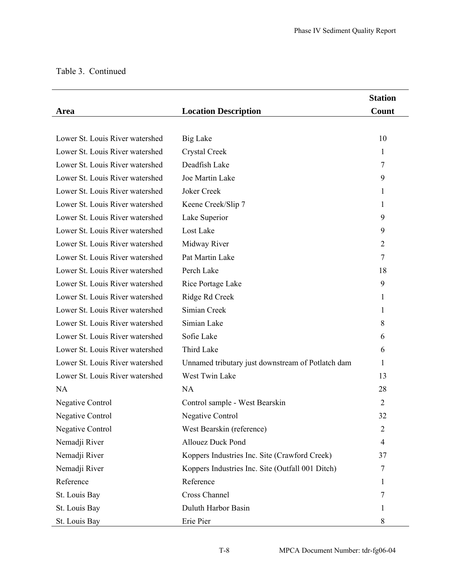# Table 3. Continued

|                                 |                                                   | <b>Station</b> |
|---------------------------------|---------------------------------------------------|----------------|
| Area                            | <b>Location Description</b>                       | Count          |
|                                 |                                                   |                |
| Lower St. Louis River watershed | <b>Big Lake</b>                                   | 10             |
| Lower St. Louis River watershed | Crystal Creek                                     | 1              |
| Lower St. Louis River watershed | Deadfish Lake                                     | 7              |
| Lower St. Louis River watershed | Joe Martin Lake                                   | 9              |
| Lower St. Louis River watershed | Joker Creek                                       | 1              |
| Lower St. Louis River watershed | Keene Creek/Slip 7                                | 1              |
| Lower St. Louis River watershed | Lake Superior                                     | 9              |
| Lower St. Louis River watershed | Lost Lake                                         | 9              |
| Lower St. Louis River watershed | Midway River                                      | $\overline{2}$ |
| Lower St. Louis River watershed | Pat Martin Lake                                   | $\overline{7}$ |
| Lower St. Louis River watershed | Perch Lake                                        | 18             |
| Lower St. Louis River watershed | Rice Portage Lake                                 | 9              |
| Lower St. Louis River watershed | Ridge Rd Creek                                    | 1              |
| Lower St. Louis River watershed | Simian Creek                                      | 1              |
| Lower St. Louis River watershed | Simian Lake                                       | 8              |
| Lower St. Louis River watershed | Sofie Lake                                        | 6              |
| Lower St. Louis River watershed | Third Lake                                        | 6              |
| Lower St. Louis River watershed | Unnamed tributary just downstream of Potlatch dam | 1              |
| Lower St. Louis River watershed | West Twin Lake                                    | 13             |
| <b>NA</b>                       | <b>NA</b>                                         | 28             |
| <b>Negative Control</b>         | Control sample - West Bearskin                    | $\overline{2}$ |
| <b>Negative Control</b>         | <b>Negative Control</b>                           | 32             |
| <b>Negative Control</b>         | West Bearskin (reference)                         | $\overline{2}$ |
| Nemadji River                   | <b>Allouez Duck Pond</b>                          | 4              |
| Nemadji River                   | Koppers Industries Inc. Site (Crawford Creek)     | 37             |
| Nemadji River                   | Koppers Industries Inc. Site (Outfall 001 Ditch)  | 7              |
| Reference                       | Reference                                         | 1              |
| St. Louis Bay                   | <b>Cross Channel</b>                              | 7              |
| St. Louis Bay                   | Duluth Harbor Basin                               | 1              |
| St. Louis Bay                   | Erie Pier                                         | 8              |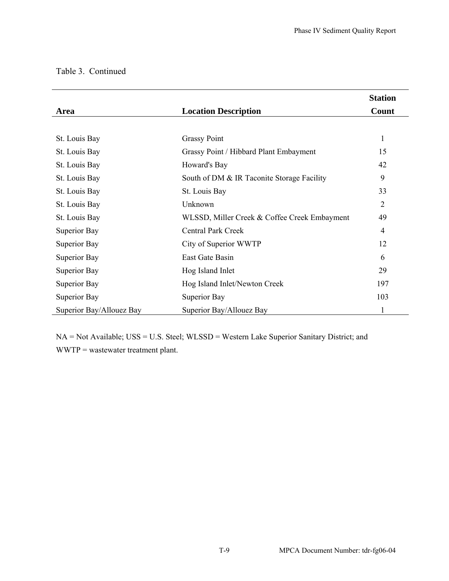|                          |                                              | <b>Station</b> |
|--------------------------|----------------------------------------------|----------------|
| Area                     | <b>Location Description</b>                  | Count          |
|                          |                                              |                |
| St. Louis Bay            | <b>Grassy Point</b>                          | 1              |
| St. Louis Bay            | Grassy Point / Hibbard Plant Embayment       | 15             |
| St. Louis Bay            | Howard's Bay                                 | 42             |
| St. Louis Bay            | South of DM & IR Taconite Storage Facility   | 9              |
| St. Louis Bay            | St. Louis Bay                                | 33             |
| St. Louis Bay            | Unknown                                      | $\overline{2}$ |
| St. Louis Bay            | WLSSD, Miller Creek & Coffee Creek Embayment | 49             |
| Superior Bay             | <b>Central Park Creek</b>                    | $\overline{4}$ |
| Superior Bay             | City of Superior WWTP                        | 12             |
| Superior Bay             | East Gate Basin                              | 6              |
| Superior Bay             | Hog Island Inlet                             | 29             |
| Superior Bay             | Hog Island Inlet/Newton Creek                | 197            |
| Superior Bay             | Superior Bay                                 | 103            |
| Superior Bay/Allouez Bay | Superior Bay/Allouez Bay                     | 1              |

# Table 3. Continued

NA = Not Available; USS = U.S. Steel; WLSSD = Western Lake Superior Sanitary District; and WWTP = wastewater treatment plant.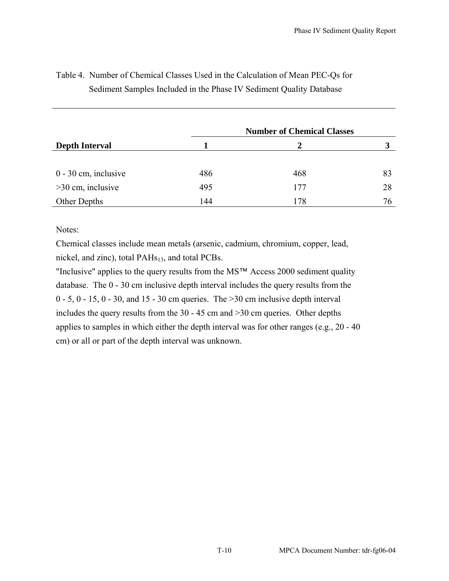|                        |     | <b>Number of Chemical Classes</b> |    |  |
|------------------------|-----|-----------------------------------|----|--|
| <b>Depth Interval</b>  |     | 2                                 | 3  |  |
|                        |     |                                   |    |  |
| $0 - 30$ cm, inclusive | 486 | 468                               | 83 |  |
| $>30$ cm, inclusive    | 495 | 177                               | 28 |  |
| Other Depths           | 144 | 178                               | 76 |  |

# Table 4. Number of Chemical Classes Used in the Calculation of Mean PEC-Qs for Sediment Samples Included in the Phase IV Sediment Quality Database

Notes:

Chemical classes include mean metals (arsenic, cadmium, chromium, copper, lead, nickel, and zinc), total PAHs<sub>13</sub>, and total PCBs.

"Inclusive" applies to the query results from the MS™ Access 2000 sediment quality database. The 0 - 30 cm inclusive depth interval includes the query results from the  $0 - 5$ ,  $0 - 15$ ,  $0 - 30$ , and  $15 - 30$  cm queries. The  $>30$  cm inclusive depth interval includes the query results from the 30 - 45 cm and >30 cm queries. Other depths applies to samples in which either the depth interval was for other ranges (e.g., 20 - 40 cm) or all or part of the depth interval was unknown.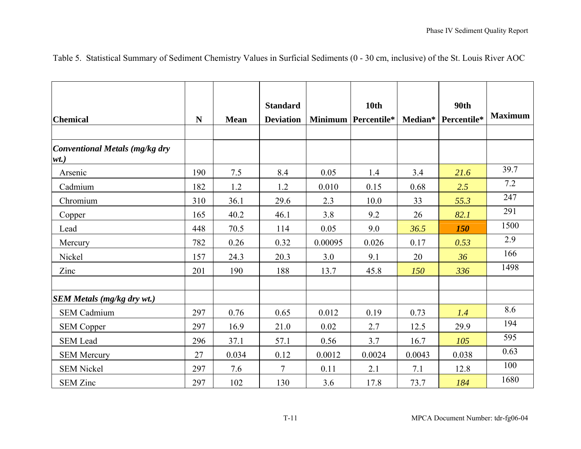| <b>Chemical</b>                           | $\mathbf N$ | <b>Mean</b> | <b>Standard</b><br><b>Deviation</b> |         | <b>10th</b><br>Minimum   Percentile* |        | <b>90th</b><br>Median* Percentile* | <b>Maximum</b> |
|-------------------------------------------|-------------|-------------|-------------------------------------|---------|--------------------------------------|--------|------------------------------------|----------------|
| Conventional Metals (mg/kg dry<br>$wt.$ ) |             |             |                                     |         |                                      |        |                                    |                |
| Arsenic                                   | 190         | 7.5         | 8.4                                 | 0.05    | 1.4                                  | 3.4    | 21.6                               | 39.7           |
| Cadmium                                   | 182         | 1.2         | 1.2                                 | 0.010   | 0.15                                 | 0.68   | 2.5                                | 7.2            |
| Chromium                                  | 310         | 36.1        | 29.6                                | 2.3     | 10.0                                 | 33     | 55.3                               | 247            |
| Copper                                    | 165         | 40.2        | 46.1                                | 3.8     | 9.2                                  | 26     | 82.1                               | 291            |
| Lead                                      | 448         | 70.5        | 114                                 | 0.05    | 9.0                                  | 36.5   | 150                                | 1500           |
| Mercury                                   | 782         | 0.26        | 0.32                                | 0.00095 | 0.026                                | 0.17   | 0.53                               | 2.9            |
| Nickel                                    | 157         | 24.3        | 20.3                                | 3.0     | 9.1                                  | 20     | 36                                 | 166            |
| Zinc                                      | 201         | 190         | 188                                 | 13.7    | 45.8                                 | 150    | 336                                | 1498           |
| <b>SEM Metals (mg/kg dry wt.)</b>         |             |             |                                     |         |                                      |        |                                    |                |
| <b>SEM Cadmium</b>                        | 297         | 0.76        | 0.65                                | 0.012   | 0.19                                 | 0.73   | 1.4                                | 8.6            |
| <b>SEM Copper</b>                         | 297         | 16.9        | 21.0                                | 0.02    | 2.7                                  | 12.5   | 29.9                               | 194            |
| <b>SEM Lead</b>                           | 296         | 37.1        | 57.1                                | 0.56    | 3.7                                  | 16.7   | 105                                | 595            |
| <b>SEM Mercury</b>                        | 27          | 0.034       | 0.12                                | 0.0012  | 0.0024                               | 0.0043 | 0.038                              | 0.63           |
| <b>SEM Nickel</b>                         | 297         | 7.6         | 7                                   | 0.11    | 2.1                                  | 7.1    | 12.8                               | 100            |
| <b>SEM Zinc</b>                           | 297         | 102         | 130                                 | 3.6     | 17.8                                 | 73.7   | 184                                | 1680           |

Table 5. Statistical Summary of Sediment Chemistry Values in Surficial Sediments (0 - 30 cm, inclusive) of the St. Louis River AOC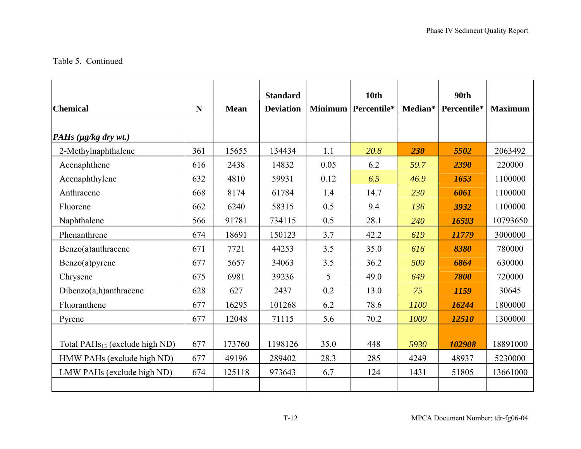#### Table 5. Continued

|                                            |             |             | <b>Standard</b>  |      | <b>10th</b>         |         | <b>90th</b> |                |
|--------------------------------------------|-------------|-------------|------------------|------|---------------------|---------|-------------|----------------|
| <b>Chemical</b>                            | $\mathbf N$ | <b>Mean</b> | <b>Deviation</b> |      | Minimum Percentile* | Median* | Percentile* | <b>Maximum</b> |
|                                            |             |             |                  |      |                     |         |             |                |
| PAHs $(\mu g/kg \, dry \, wt.)$            |             |             |                  |      |                     |         |             |                |
| 2-Methylnaphthalene                        | 361         | 15655       | 134434           | 1.1  | 20.8                | 230     | 5502        | 2063492        |
| Acenaphthene                               | 616         | 2438        | 14832            | 0.05 | 6.2                 | 59.7    | 2390        | 220000         |
| Acenaphthylene                             | 632         | 4810        | 59931            | 0.12 | 6.5                 | 46.9    | 1653        | 1100000        |
| Anthracene                                 | 668         | 8174        | 61784            | 1.4  | 14.7                | 230     | 6061        | 1100000        |
| Fluorene                                   | 662         | 6240        | 58315            | 0.5  | 9.4                 | 136     | 3932        | 1100000        |
| Naphthalene                                | 566         | 91781       | 734115           | 0.5  | 28.1                | 240     | 16593       | 10793650       |
| Phenanthrene                               | 674         | 18691       | 150123           | 3.7  | 42.2                | 619     | 11779       | 3000000        |
| Benzo(a)anthracene                         | 671         | 7721        | 44253            | 3.5  | 35.0                | 616     | 8380        | 780000         |
| Benzo(a)pyrene                             | 677         | 5657        | 34063            | 3.5  | 36.2                | 500     | 6864        | 630000         |
| Chrysene                                   | 675         | 6981        | 39236            | 5    | 49.0                | 649     | 7800        | 720000         |
| $Dibenzo(a,h)$ anthracene                  | 628         | 627         | 2437             | 0.2  | 13.0                | 75      | 1159        | 30645          |
| Fluoranthene                               | 677         | 16295       | 101268           | 6.2  | 78.6                | 1100    | 16244       | 1800000        |
| Pyrene                                     | 677         | 12048       | 71115            | 5.6  | 70.2                | 1000    | 12510       | 1300000        |
|                                            |             |             |                  |      |                     |         |             |                |
| Total PAH <sub>S13</sub> (exclude high ND) | 677         | 173760      | 1198126          | 35.0 | 448                 | 5930    | 102908      | 18891000       |
| HMW PAHs (exclude high ND)                 | 677         | 49196       | 289402           | 28.3 | 285                 | 4249    | 48937       | 5230000        |
| LMW PAHs (exclude high ND)                 | 674         | 125118      | 973643           | 6.7  | 124                 | 1431    | 51805       | 13661000       |
|                                            |             |             |                  |      |                     |         |             |                |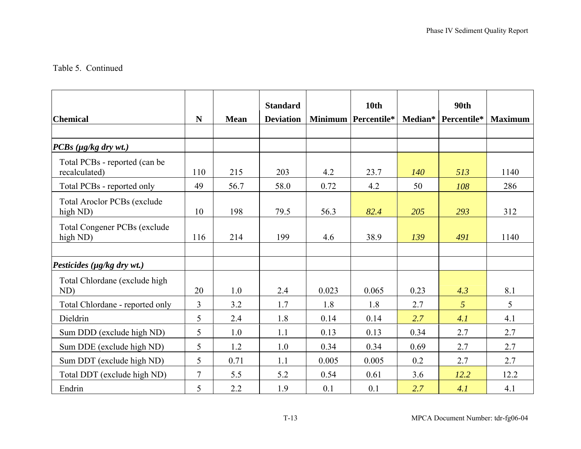### Table 5. Continued

|                                                 |                |             | <b>Standard</b>  |       | <b>10th</b>         |            | 90th                |                |
|-------------------------------------------------|----------------|-------------|------------------|-------|---------------------|------------|---------------------|----------------|
| <b>Chemical</b>                                 | $\mathbf N$    | <b>Mean</b> | <b>Deviation</b> |       | Minimum Percentile* |            | Median* Percentile* | <b>Maximum</b> |
|                                                 |                |             |                  |       |                     |            |                     |                |
| $PCBs$ (µg/kg dry wt.)                          |                |             |                  |       |                     |            |                     |                |
| Total PCBs - reported (can be<br>recalculated)  | 110            | 215         | 203              | 4.2   | 23.7                | <i>140</i> | 513                 | 1140           |
| Total PCBs - reported only                      | 49             | 56.7        | 58.0             | 0.72  | 4.2                 | 50         | 108                 | 286            |
| <b>Total Aroclor PCBs (exclude</b><br>high ND)  | 10             | 198         | 79.5             | 56.3  | 82.4                | 205        | 293                 | 312            |
| <b>Total Congener PCBs (exclude</b><br>high ND) | 116            | 214         | 199              | 4.6   | 38.9                | 139        | 491                 | 1140           |
|                                                 |                |             |                  |       |                     |            |                     |                |
| Pesticides ( $\mu$ g/kg dry wt.)                |                |             |                  |       |                     |            |                     |                |
| Total Chlordane (exclude high<br>ND)            | 20             | 1.0         | 2.4              | 0.023 | 0.065               | 0.23       | 4.3                 | 8.1            |
| Total Chlordane - reported only                 | $\overline{3}$ | 3.2         | 1.7              | 1.8   | 1.8                 | 2.7        | $\overline{5}$      | 5              |
| Dieldrin                                        | 5              | 2.4         | 1.8              | 0.14  | 0.14                | 2.7        | 4.1                 | 4.1            |
| Sum DDD (exclude high ND)                       | 5              | 1.0         | 1.1              | 0.13  | 0.13                | 0.34       | 2.7                 | 2.7            |
| Sum DDE (exclude high ND)                       | 5              | 1.2         | 1.0              | 0.34  | 0.34                | 0.69       | 2.7                 | 2.7            |
| Sum DDT (exclude high ND)                       | 5              | 0.71        | 1.1              | 0.005 | 0.005               | 0.2        | 2.7                 | 2.7            |
| Total DDT (exclude high ND)                     | $\overline{7}$ | 5.5         | 5.2              | 0.54  | 0.61                | 3.6        | 12.2                | 12.2           |
| Endrin                                          | 5              | 2.2         | 1.9              | 0.1   | 0.1                 | 2.7        | 4.1                 | 4.1            |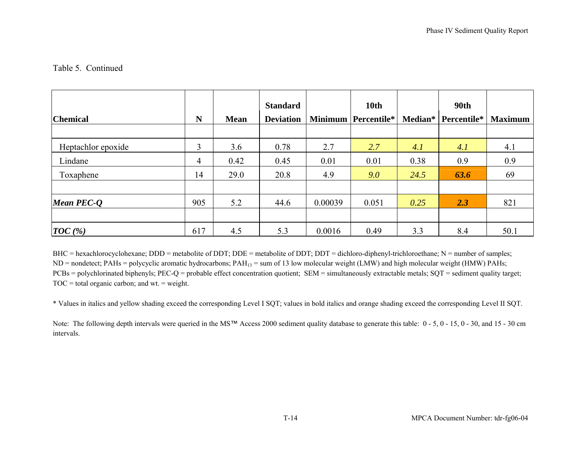# Table 5. Continued

| <b>Chemical</b>      | N              | <b>Mean</b> | <b>Standard</b><br><b>Deviation</b> |         | 10th<br><b>Minimum Percentile*</b> | Median* | <b>90th</b><br>Percentile* | <b>Maximum</b> |
|----------------------|----------------|-------------|-------------------------------------|---------|------------------------------------|---------|----------------------------|----------------|
| Heptachlor epoxide   | $\overline{3}$ | 3.6         | 0.78                                | 2.7     | 2.7                                | 4.1     | 4.1                        | 4.1            |
| Lindane              | $\overline{4}$ | 0.42        | 0.45                                | 0.01    | 0.01                               | 0.38    | 0.9                        | 0.9            |
| Toxaphene            | 14             | 29.0        | 20.8                                | 4.9     | 9.0                                | 24.5    | 63.6                       | 69             |
| <b>Mean PEC-Q</b>    | 905            | 5.2         | 44.6                                | 0.00039 | 0.051                              | 0.25    | 2.3                        | 821            |
| $\vert TOC \, (\% )$ | 617            | 4.5         | 5.3                                 | 0.0016  | 0.49                               | 3.3     | 8.4                        | 50.1           |

BHC = hexachlorocyclohexane; DDD = metabolite of DDT; DDE = metabolite of DDT; DDT = dichloro-diphenyl-trichloroethane; N = number of samples; ND = nondetect; PAHs = polycyclic aromatic hydrocarbons; PAH<sub>13</sub> = sum of 13 low molecular weight (LMW) and high molecular weight (HMW) PAHs; PCBs = polychlorinated biphenyls; PEC-Q = probable effect concentration quotient; SEM = simultaneously extractable metals; SQT = sediment quality target;  $TOC = total organic carbon; and wt. = weight.$ 

\* Values in italics and yellow shading exceed the corresponding Level I SQT; values in bold italics and orange shading exceed the corresponding Level II SQT.

Note: The following depth intervals were queried in the MS™ Access 2000 sediment quality database to generate this table: 0 - 5, 0 - 15, 0 - 30, and 15 - 30 cm intervals.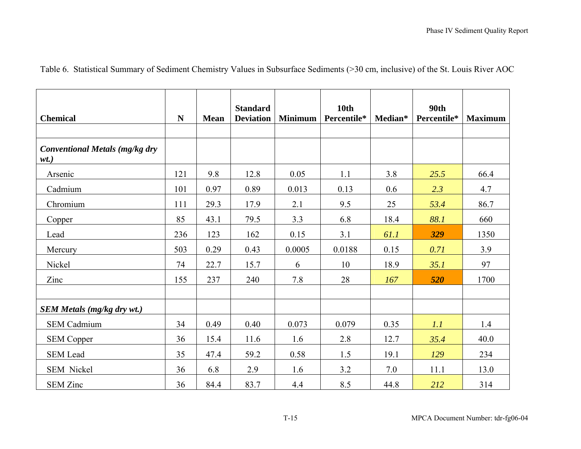|  |  |  | Table 6. Statistical Summary of Sediment Chemistry Values in Subsurface Sediments (>30 cm, inclusive) of the St. Louis River AOC |  |  |
|--|--|--|----------------------------------------------------------------------------------------------------------------------------------|--|--|
|--|--|--|----------------------------------------------------------------------------------------------------------------------------------|--|--|

| <b>Chemical</b>                                  | N   | Mean | <b>Standard</b><br><b>Deviation</b> | <b>Minimum</b> | <b>10th</b><br>Percentile* | Median* | <b>90th</b><br>Percentile* | <b>Maximum</b> |
|--------------------------------------------------|-----|------|-------------------------------------|----------------|----------------------------|---------|----------------------------|----------------|
| <b>Conventional Metals (mg/kg dry</b><br>$wt.$ ) |     |      |                                     |                |                            |         |                            |                |
| Arsenic                                          | 121 | 9.8  | 12.8                                | 0.05           | 1.1                        | 3.8     | 25.5                       | 66.4           |
| Cadmium                                          | 101 | 0.97 | 0.89                                | 0.013          | 0.13                       | 0.6     | 2.3                        | 4.7            |
| Chromium                                         | 111 | 29.3 | 17.9                                | 2.1            | 9.5                        | 25      | 53.4                       | 86.7           |
| Copper                                           | 85  | 43.1 | 79.5                                | 3.3            | 6.8                        | 18.4    | 88.1                       | 660            |
| Lead                                             | 236 | 123  | 162                                 | 0.15           | 3.1                        | 61.1    | 329                        | 1350           |
| Mercury                                          | 503 | 0.29 | 0.43                                | 0.0005         | 0.0188                     | 0.15    | 0.71                       | 3.9            |
| Nickel                                           | 74  | 22.7 | 15.7                                | 6              | 10                         | 18.9    | 35.1                       | 97             |
| Zinc                                             | 155 | 237  | 240                                 | 7.8            | 28                         | 167     | 520                        | 1700           |
|                                                  |     |      |                                     |                |                            |         |                            |                |
| <b>SEM Metals (mg/kg dry wt.)</b>                |     |      |                                     |                |                            |         |                            |                |
| <b>SEM Cadmium</b>                               | 34  | 0.49 | 0.40                                | 0.073          | 0.079                      | 0.35    | 1.1                        | 1.4            |
| <b>SEM Copper</b>                                | 36  | 15.4 | 11.6                                | 1.6            | 2.8                        | 12.7    | 35.4                       | 40.0           |
| <b>SEM Lead</b>                                  | 35  | 47.4 | 59.2                                | 0.58           | 1.5                        | 19.1    | 129                        | 234            |
| <b>SEM Nickel</b>                                | 36  | 6.8  | 2.9                                 | 1.6            | 3.2                        | 7.0     | 11.1                       | 13.0           |
| <b>SEM Zinc</b>                                  | 36  | 84.4 | 83.7                                | 4.4            | 8.5                        | 44.8    | 212                        | 314            |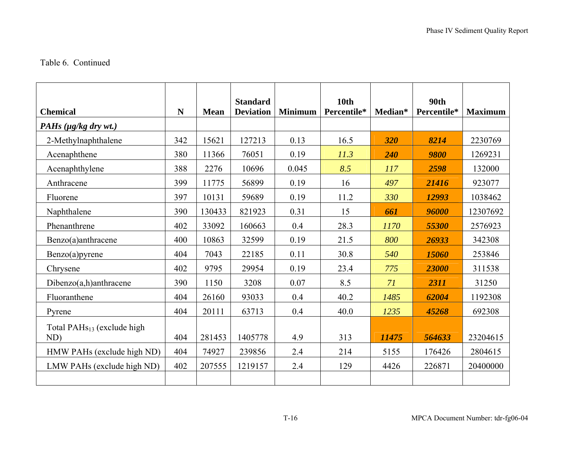#### Table 6. Continued

| <b>Chemical</b>                               | $\mathbf N$ | <b>Mean</b> | <b>Standard</b><br><b>Deviation</b> | <b>Minimum</b> | 10 <sub>th</sub><br>Percentile* | Median* | <b>90th</b><br>Percentile* | <b>Maximum</b> |
|-----------------------------------------------|-------------|-------------|-------------------------------------|----------------|---------------------------------|---------|----------------------------|----------------|
| PAHs (µg/kg dry wt.)                          |             |             |                                     |                |                                 |         |                            |                |
| 2-Methylnaphthalene                           | 342         | 15621       | 127213                              | 0.13           | 16.5                            | 320     | 8214                       | 2230769        |
| Acenaphthene                                  | 380         | 11366       | 76051                               | 0.19           | 11.3                            | 240     | 9800                       | 1269231        |
| Acenaphthylene                                | 388         | 2276        | 10696                               | 0.045          | 8.5                             | 117     | 2598                       | 132000         |
| Anthracene                                    | 399         | 11775       | 56899                               | 0.19           | 16                              | 497     | 21416                      | 923077         |
| Fluorene                                      | 397         | 10131       | 59689                               | 0.19           | 11.2                            | 330     | 12993                      | 1038462        |
| Naphthalene                                   | 390         | 130433      | 821923                              | 0.31           | 15                              | 661     | 96000                      | 12307692       |
| Phenanthrene                                  | 402         | 33092       | 160663                              | 0.4            | 28.3                            | 1170    | 55300                      | 2576923        |
| Benzo(a)anthracene                            | 400         | 10863       | 32599                               | 0.19           | 21.5                            | 800     | 26933                      | 342308         |
| $Benzo(a)$ pyrene                             | 404         | 7043        | 22185                               | 0.11           | 30.8                            | 540     | 15060                      | 253846         |
| Chrysene                                      | 402         | 9795        | 29954                               | 0.19           | 23.4                            | 775     | 23000                      | 311538         |
| $Dibenzo(a,h)$ anthracene                     | 390         | 1150        | 3208                                | 0.07           | 8.5                             | 71      | 2311                       | 31250          |
| Fluoranthene                                  | 404         | 26160       | 93033                               | 0.4            | 40.2                            | 1485    | 62004                      | 1192308        |
| Pyrene                                        | 404         | 20111       | 63713                               | 0.4            | 40.0                            | 1235    | 45268                      | 692308         |
| Total PAH <sub>S13</sub> (exclude high<br>ND) | 404         | 281453      | 1405778                             | 4.9            | 313                             | 11475   | 564633                     | 23204615       |
| HMW PAHs (exclude high ND)                    | 404         | 74927       | 239856                              | 2.4            | 214                             | 5155    | 176426                     | 2804615        |
| LMW PAHs (exclude high ND)                    | 402         | 207555      | 1219157                             | 2.4            | 129                             | 4426    | 226871                     | 20400000       |
|                                               |             |             |                                     |                |                                 |         |                            |                |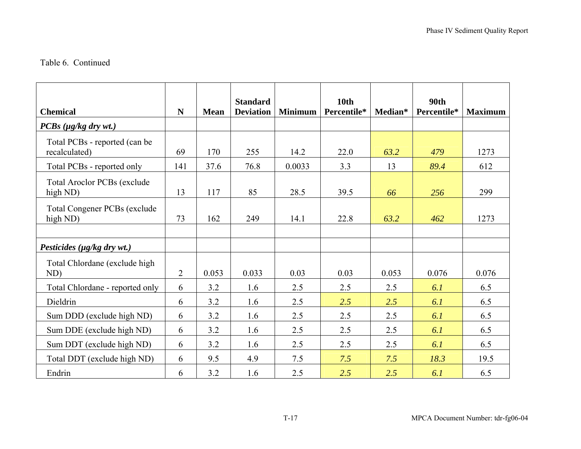#### Table 6. Continued

| <b>Chemical</b>                                 | $\mathbf N$    | <b>Mean</b> | <b>Standard</b><br><b>Deviation</b> | <b>Minimum</b> | 10 <sub>th</sub><br>Percentile* | Median* | 90 <sub>th</sub><br>Percentile* | <b>Maximum</b> |
|-------------------------------------------------|----------------|-------------|-------------------------------------|----------------|---------------------------------|---------|---------------------------------|----------------|
| $PCBs$ ( $\mu g/kg$ dry wt.)                    |                |             |                                     |                |                                 |         |                                 |                |
| Total PCBs - reported (can be<br>recalculated)  | 69             | 170         | 255                                 | 14.2           | 22.0                            | 63.2    | 479                             | 1273           |
| Total PCBs - reported only                      | 141            | 37.6        | 76.8                                | 0.0033         | 3.3                             | 13      | 89.4                            | 612            |
| <b>Total Aroclor PCBs (exclude</b><br>high ND)  | 13             | 117         | 85                                  | 28.5           | 39.5                            | 66      | 256                             | 299            |
| <b>Total Congener PCBs (exclude</b><br>high ND) | 73             | 162         | 249                                 | 14.1           | 22.8                            | 63.2    | 462                             | 1273           |
|                                                 |                |             |                                     |                |                                 |         |                                 |                |
| Pesticides ( $\mu$ g/kg dry wt.)                |                |             |                                     |                |                                 |         |                                 |                |
| Total Chlordane (exclude high<br>ND)            | $\overline{2}$ | 0.053       | 0.033                               | 0.03           | 0.03                            | 0.053   | 0.076                           | 0.076          |
| Total Chlordane - reported only                 | 6              | 3.2         | 1.6                                 | 2.5            | 2.5                             | 2.5     | 6.1                             | 6.5            |
| Dieldrin                                        | 6              | 3.2         | 1.6                                 | 2.5            | 2.5                             | 2.5     | 6.1                             | 6.5            |
| Sum DDD (exclude high ND)                       | 6              | 3.2         | 1.6                                 | 2.5            | 2.5                             | 2.5     | 6.1                             | 6.5            |
| Sum DDE (exclude high ND)                       | 6              | 3.2         | 1.6                                 | 2.5            | 2.5                             | 2.5     | 6.1                             | 6.5            |
| Sum DDT (exclude high ND)                       | 6              | 3.2         | 1.6                                 | 2.5            | 2.5                             | 2.5     | 6.1                             | 6.5            |
| Total DDT (exclude high ND)                     | 6              | 9.5         | 4.9                                 | 7.5            | 7.5                             | 7.5     | 18.3                            | 19.5           |
| Endrin                                          | 6              | 3.2         | 1.6                                 | 2.5            | 2.5                             | 2.5     | 6.1                             | 6.5            |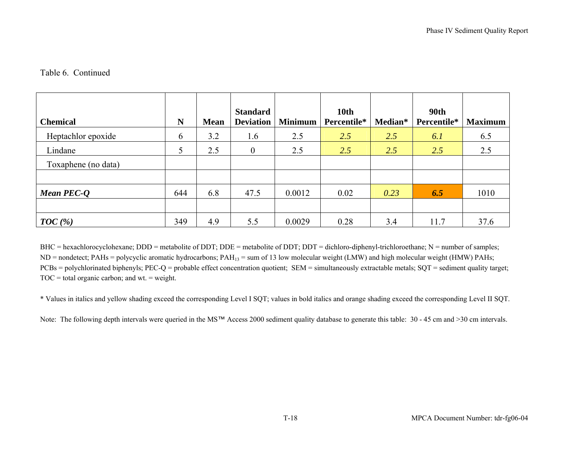### Table 6. Continued

| <b>Chemical</b>     | N   | <b>Mean</b> | <b>Standard</b><br><b>Deviation</b> | <b>Minimum</b> | 10 <sub>th</sub><br>Percentile* | Median* | <b>90th</b><br>Percentile* | <b>Maximum</b> |
|---------------------|-----|-------------|-------------------------------------|----------------|---------------------------------|---------|----------------------------|----------------|
| Heptachlor epoxide  | 6   | 3.2         | 1.6                                 | 2.5            | 2.5                             | 2.5     | 6.1                        | 6.5            |
| Lindane             | 5   | 2.5         | $\mathbf{0}$                        | 2.5            | 2.5                             | 2.5     | 2.5                        | 2.5            |
| Toxaphene (no data) |     |             |                                     |                |                                 |         |                            |                |
|                     |     |             |                                     |                |                                 |         |                            |                |
| Mean PEC-Q          | 644 | 6.8         | 47.5                                | 0.0012         | 0.02                            | 0.23    | 6.5                        | 1010           |
|                     |     |             |                                     |                |                                 |         |                            |                |
| TOC(%)              | 349 | 4.9         | 5.5                                 | 0.0029         | 0.28                            | 3.4     | 11.7                       | 37.6           |

BHC = hexachlorocyclohexane; DDD = metabolite of DDT; DDE = metabolite of DDT; DDT = dichloro-diphenyl-trichloroethane; N = number of samples;  $ND$  = nondetect; PAHs = polycyclic aromatic hydrocarbons; PAH<sub>13</sub> = sum of 13 low molecular weight (LMW) and high molecular weight (HMW) PAHs; PCBs = polychlorinated biphenyls; PEC-Q = probable effect concentration quotient; SEM = simultaneously extractable metals; SQT = sediment quality target;  $TOC = total organic carbon; and wt. = weight.$ 

\* Values in italics and yellow shading exceed the corresponding Level I SQT; values in bold italics and orange shading exceed the corresponding Level II SQT.

Note: The following depth intervals were queried in the MS™ Access 2000 sediment quality database to generate this table: 30 - 45 cm and >30 cm intervals.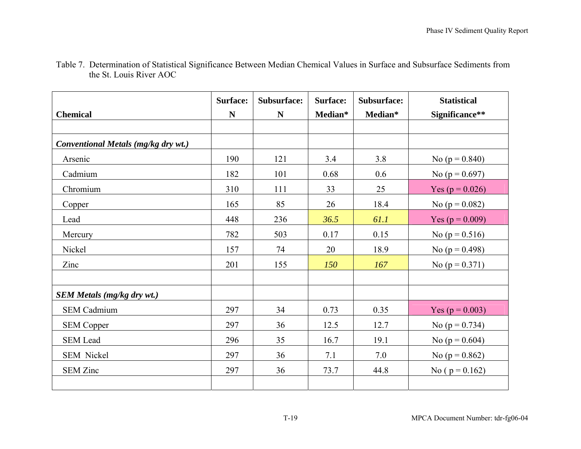|                                     | <b>Surface:</b> | Subsurface: | <b>Surface:</b> | Subsurface: | <b>Statistical</b>  |
|-------------------------------------|-----------------|-------------|-----------------|-------------|---------------------|
| <b>Chemical</b>                     | $\mathbf N$     | N           | Median*         | Median*     | Significance**      |
|                                     |                 |             |                 |             |                     |
| Conventional Metals (mg/kg dry wt.) |                 |             |                 |             |                     |
| Arsenic                             | 190             | 121         | 3.4             | 3.8         | No ( $p = 0.840$ )  |
| Cadmium                             | 182             | 101         | 0.68            | 0.6         | No ( $p = 0.697$ )  |
| Chromium                            | 310             | 111         | 33              | 25          | Yes ( $p = 0.026$ ) |
| Copper                              | 165             | 85          | 26              | 18.4        | No ( $p = 0.082$ )  |
| Lead                                | 448             | 236         | 36.5            | 61.1        | Yes ( $p = 0.009$ ) |
| Mercury                             | 782             | 503         | 0.17            | 0.15        | No ( $p = 0.516$ )  |
| Nickel                              | 157             | 74          | 20              | 18.9        | No ( $p = 0.498$ )  |
| Zinc                                | 201             | 155         | 150             | 167         | No ( $p = 0.371$ )  |
|                                     |                 |             |                 |             |                     |
| <b>SEM Metals (mg/kg dry wt.)</b>   |                 |             |                 |             |                     |
| <b>SEM Cadmium</b>                  | 297             | 34          | 0.73            | 0.35        | Yes ( $p = 0.003$ ) |
| <b>SEM Copper</b>                   | 297             | 36          | 12.5            | 12.7        | No ( $p = 0.734$ )  |
| <b>SEM Lead</b>                     | 296             | 35          | 16.7            | 19.1        | No ( $p = 0.604$ )  |
| SEM Nickel                          | 297             | 36          | 7.1             | 7.0         | No ( $p = 0.862$ )  |
| <b>SEM Zinc</b>                     | 297             | 36          | 73.7            | 44.8        | No ( $p = 0.162$ )  |
|                                     |                 |             |                 |             |                     |

Table 7. Determination of Statistical Significance Between Median Chemical Values in Surface and Subsurface Sediments from the St. Louis River AOC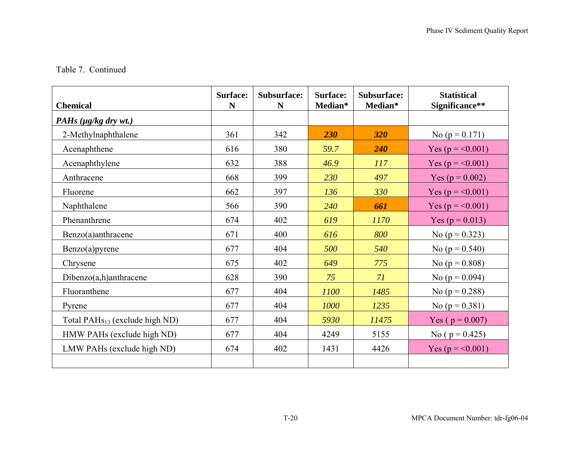## Table 7. Continued

| <b>Chemical</b>                            | <b>Surface:</b><br>N | Subsurface:<br>N | <b>Surface:</b><br>Median* | Subsurface:<br>Median* | <b>Statistical</b><br>Significance** |
|--------------------------------------------|----------------------|------------------|----------------------------|------------------------|--------------------------------------|
| PAHs $(\mu g/kg \, dry \, wt.)$            |                      |                  |                            |                        |                                      |
| 2-Methylnaphthalene                        | 361                  | 342              | 230                        | 320                    | No ( $p = 0.171$ )                   |
| Acenaphthene                               | 616                  | 380              | 59.7                       | 240                    | Yes ( $p = 0.001$ )                  |
| Acenaphthylene                             | 632                  | 388              | 46.9                       | 117                    | Yes ( $p = 0.001$ )                  |
| Anthracene                                 | 668                  | 399              | 230                        | 497                    | Yes ( $p = 0.002$ )                  |
| Fluorene                                   | 662                  | 397              | 136                        | 330                    | Yes ( $p = 0.001$ )                  |
| Naphthalene                                | 566                  | 390              | 240                        | 661                    | Yes ( $p = 0.001$ )                  |
| Phenanthrene                               | 674                  | 402              | 619                        | 1170                   | Yes ( $p = 0.013$ )                  |
| Benzo(a)anthracene                         | 671                  | 400              | 616                        | 800                    | No ( $p = 0.323$ )                   |
| $Benzo(a)$ pyrene                          | 677                  | 404              | 500                        | 540                    | No ( $p = 0.540$ )                   |
| Chrysene                                   | 675                  | 402              | 649                        | 775                    | No ( $p = 0.808$ )                   |
| $Dibenzo(a,h)$ anthracene                  | 628                  | 390              | 75                         | 71                     | No ( $p = 0.094$ )                   |
| Fluoranthene                               | 677                  | 404              | 1100                       | 1485                   | No ( $p = 0.288$ )                   |
| Pyrene                                     | 677                  | 404              | 1000                       | 1235                   | No ( $p = 0.381$ )                   |
| Total PAH <sub>S13</sub> (exclude high ND) | 677                  | 404              | 5930                       | 11475                  | Yes ( $p = 0.007$ )                  |
| HMW PAHs (exclude high ND)                 | 677                  | 404              | 4249                       | 5155                   | No ( $p = 0.425$ )                   |
| LMW PAHs (exclude high ND)                 | 674                  | 402              | 1431                       | 4426                   | Yes ( $p = 0.001$ )                  |
|                                            |                      |                  |                            |                        |                                      |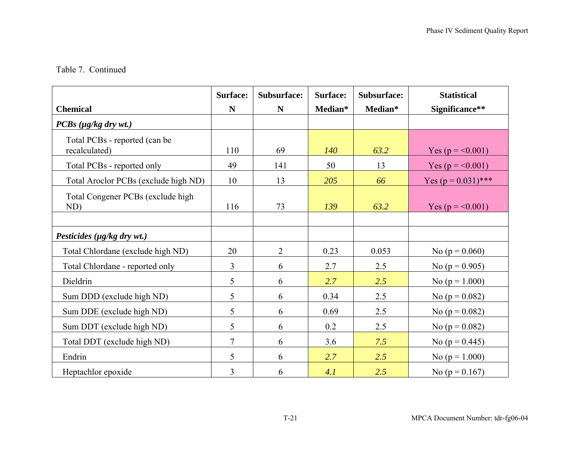### Table 7. Continued

|                                                | <b>Surface:</b> | Subsurface:    | <b>Surface:</b> | Subsurface: | <b>Statistical</b>    |
|------------------------------------------------|-----------------|----------------|-----------------|-------------|-----------------------|
| <b>Chemical</b>                                | N               | N              | Median*         | Median*     | Significance**        |
| $PCBs$ ( $\mu g/kg$ dry wt.)                   |                 |                |                 |             |                       |
| Total PCBs - reported (can be<br>recalculated) | 110             | 69             | 140             | 63.2        | Yes ( $p = 0.001$ )   |
| Total PCBs - reported only                     | 49              | 141            | 50              | 13          | Yes ( $p = 0.001$ )   |
| Total Aroclor PCBs (exclude high ND)           | 10              | 13             | 205             | 66          | Yes $(p = 0.031)$ *** |
| Total Congener PCBs (exclude high<br>ND)       | 116             | 73             | 139             | 63.2        | Yes ( $p = 0.001$ )   |
| Pesticides ( $\mu$ g/kg dry wt.)               |                 |                |                 |             |                       |
| Total Chlordane (exclude high ND)              | 20              | $\overline{2}$ | 0.23            | 0.053       | No ( $p = 0.060$ )    |
| Total Chlordane - reported only                | 3               | 6              | 2.7             | 2.5         | No ( $p = 0.905$ )    |
| Dieldrin                                       | 5               | 6              | 2.7             | 2.5         | No ( $p = 1.000$ )    |
| Sum DDD (exclude high ND)                      | 5               | 6              | 0.34            | 2.5         | No ( $p = 0.082$ )    |
| Sum DDE (exclude high ND)                      | 5               | 6              | 0.69            | 2.5         | No ( $p = 0.082$ )    |
| Sum DDT (exclude high ND)                      | 5               | 6              | 0.2             | 2.5         | No ( $p = 0.082$ )    |
| Total DDT (exclude high ND)                    | $\overline{7}$  | 6              | 3.6             | 7.5         | No ( $p = 0.445$ )    |
| Endrin                                         | 5               | 6              | 2.7             | 2.5         | No ( $p = 1.000$ )    |
| Heptachlor epoxide                             | 3               | 6              | 4.1             | 2.5         | No ( $p = 0.167$ )    |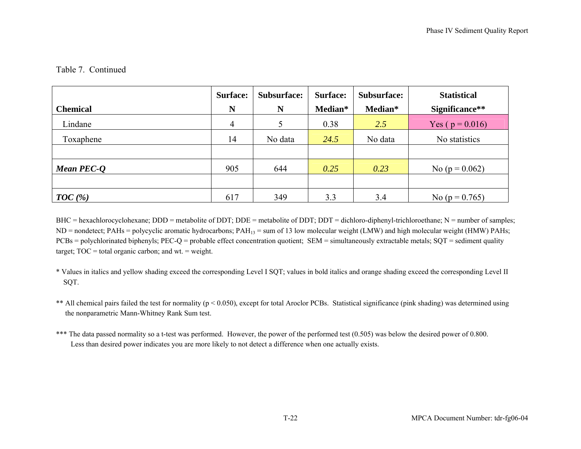### Table 7. Continued

|                 | <b>Surface:</b> | Subsurface: | Surface: | Subsurface: | <b>Statistical</b>  |
|-----------------|-----------------|-------------|----------|-------------|---------------------|
| <b>Chemical</b> | N               | N           | Median*  | Median*     | Significance**      |
| Lindane         | $\overline{4}$  |             | 0.38     | 2.5         | Yes ( $p = 0.016$ ) |
| Toxaphene       | 14              | No data     | 24.5     | No data     | No statistics       |
|                 |                 |             |          |             |                     |
| Mean PEC-Q      | 905             | 644         | 0.25     | 0.23        | No ( $p = 0.062$ )  |
|                 |                 |             |          |             |                     |
| $TOC$ (%)       | 617             | 349         | 3.3      | 3.4         | No ( $p = 0.765$ )  |

BHC = hexachlorocyclohexane; DDD = metabolite of DDT; DDE = metabolite of DDT; DDT = dichloro-diphenyl-trichloroethane; N = number of samples;  $ND$  = nondetect; PAHs = polycyclic aromatic hydrocarbons; PAH<sub>13</sub> = sum of 13 low molecular weight (LMW) and high molecular weight (HMW) PAHs; PCBs = polychlorinated biphenyls; PEC-Q = probable effect concentration quotient; SEM = simultaneously extractable metals; SQT = sediment quality target;  $TOC = total organic carbon$ ; and wt. = weight.

- \* Values in italics and yellow shading exceed the corresponding Level I SQT; values in bold italics and orange shading exceed the corresponding Level II SQT.
- \*\* All chemical pairs failed the test for normality (p < 0.050), except for total Aroclor PCBs. Statistical significance (pink shading) was determined using the nonparametric Mann-Whitney Rank Sum test.
- \*\*\* The data passed normality so a t-test was performed. However, the power of the performed test (0.505) was below the desired power of 0.800. Less than desired power indicates you are more likely to not detect a difference when one actually exists.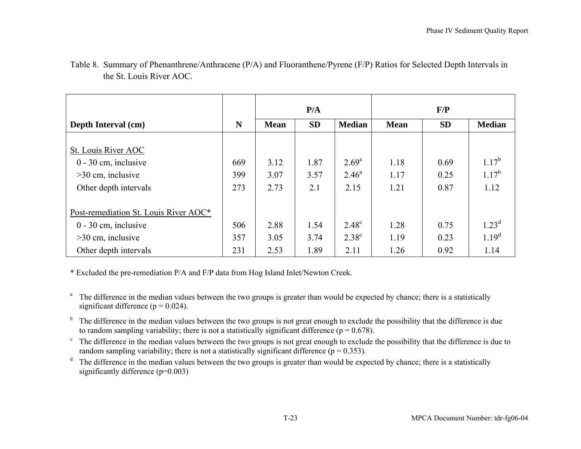|                                                                                                                 |                   | P/A                  |                      |                                             | F/P                  |                      |                                       |  |
|-----------------------------------------------------------------------------------------------------------------|-------------------|----------------------|----------------------|---------------------------------------------|----------------------|----------------------|---------------------------------------|--|
| Depth Interval (cm)                                                                                             | N                 | <b>Mean</b>          | <b>SD</b>            | <b>Median</b>                               | <b>Mean</b>          | <b>SD</b>            | <b>Median</b>                         |  |
| St. Louis River AOC<br>$0 - 30$ cm, inclusive<br>$>30$ cm, inclusive<br>Other depth intervals                   | 669<br>399<br>273 | 3.12<br>3.07<br>2.73 | 1.87<br>3.57<br>2.1  | $2.69^{\rm a}$<br>$2.46^{\circ}$<br>2.15    | 1.18<br>1.17<br>1.21 | 0.69<br>0.25<br>0.87 | $1.17^{b}$<br>$1.17^{b}$<br>1.12      |  |
| Post-remediation St. Louis River AOC*<br>$0 - 30$ cm, inclusive<br>$>30$ cm, inclusive<br>Other depth intervals | 506<br>357<br>231 | 2.88<br>3.05<br>2.53 | 1.54<br>3.74<br>1.89 | $2.48^{\circ}$<br>2.38 <sup>c</sup><br>2.11 | 1.28<br>1.19<br>1.26 | 0.75<br>0.23<br>0.92 | $1.23^d$<br>1.19 <sup>d</sup><br>1.14 |  |

Table 8. Summary of Phenanthrene/Anthracene (P/A) and Fluoranthene/Pyrene (F/P) Ratios for Selected Depth Intervals in the St. Louis River AOC.

\* Excluded the pre-remediation P/A and F/P data from Hog Island Inlet/Newton Creek.

- <sup>a</sup> The difference in the median values between the two groups is greater than would be expected by chance; there is a statistically significant difference ( $p = 0.024$ ).
- $<sup>b</sup>$  The difference in the median values between the two groups is not great enough to exclude the possibility that the difference is due</sup> to random sampling variability; there is not a statistically significant difference ( $p = 0.678$ ).
- $\degree$  The difference in the median values between the two groups is not great enough to exclude the possibility that the difference is due to random sampling variability; there is not a statistically significant difference ( $p = 0.353$ ).
- $d$  The difference in the median values between the two groups is greater than would be expected by chance; there is a statistically significantly difference (p=0.003)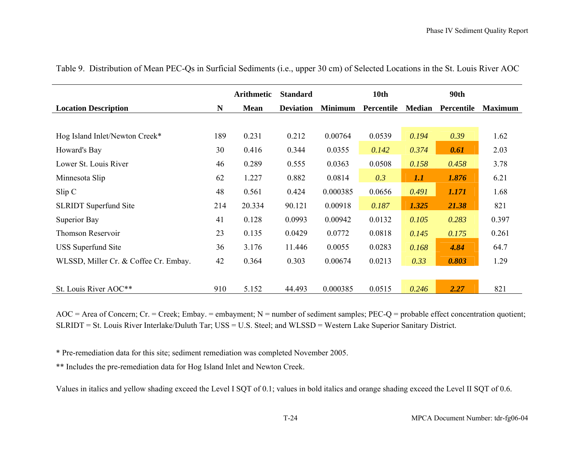|                                       |     | <b>Arithmetic</b> | <b>Standard</b>  |                | 10th       |               | <b>90th</b> |                |
|---------------------------------------|-----|-------------------|------------------|----------------|------------|---------------|-------------|----------------|
| <b>Location Description</b>           | N   | <b>Mean</b>       | <b>Deviation</b> | <b>Minimum</b> | Percentile | <b>Median</b> | Percentile  | <b>Maximum</b> |
|                                       |     |                   |                  |                |            |               |             |                |
| Hog Island Inlet/Newton Creek*        | 189 | 0.231             | 0.212            | 0.00764        | 0.0539     | 0.194         | 0.39        | 1.62           |
| Howard's Bay                          | 30  | 0.416             | 0.344            | 0.0355         | 0.142      | 0.374         | 0.61        | 2.03           |
| Lower St. Louis River                 | 46  | 0.289             | 0.555            | 0.0363         | 0.0508     | 0.158         | 0.458       | 3.78           |
| Minnesota Slip                        | 62  | 1.227             | 0.882            | 0.0814         | 0.3        | 1.1           | 1.876       | 6.21           |
| Slip C                                | 48  | 0.561             | 0.424            | 0.000385       | 0.0656     | 0.491         | 1.171       | 1.68           |
| <b>SLRIDT</b> Superfund Site          | 214 | 20.334            | 90.121           | 0.00918        | 0.187      | 1.325         | 21.38       | 821            |
| Superior Bay                          | 41  | 0.128             | 0.0993           | 0.00942        | 0.0132     | 0.105         | 0.283       | 0.397          |
| Thomson Reservoir                     | 23  | 0.135             | 0.0429           | 0.0772         | 0.0818     | 0.145         | 0.175       | 0.261          |
| <b>USS</b> Superfund Site             | 36  | 3.176             | 11.446           | 0.0055         | 0.0283     | 0.168         | 4.84        | 64.7           |
| WLSSD, Miller Cr. & Coffee Cr. Embay. | 42  | 0.364             | 0.303            | 0.00674        | 0.0213     | 0.33          | 0.803       | 1.29           |
|                                       |     |                   |                  |                |            |               |             |                |
| St. Louis River AOC**                 | 910 | 5.152             | 44.493           | 0.000385       | 0.0515     | 0.246         | 2.27        | 821            |

Table 9. Distribution of Mean PEC-Qs in Surficial Sediments (i.e., upper 30 cm) of Selected Locations in the St. Louis River AOC

 $AOC = Area$  of Concern; Cr. = Creek; Embay. = embayment; N = number of sediment samples; PEC-Q = probable effect concentration quotient; SLRIDT = St. Louis River Interlake/Duluth Tar; USS = U.S. Steel; and WLSSD = Western Lake Superior Sanitary District.

\* Pre-remediation data for this site; sediment remediation was completed November 2005.

\*\* Includes the pre-remediation data for Hog Island Inlet and Newton Creek.

Values in italics and yellow shading exceed the Level I SQT of 0.1; values in bold italics and orange shading exceed the Level II SQT of 0.6.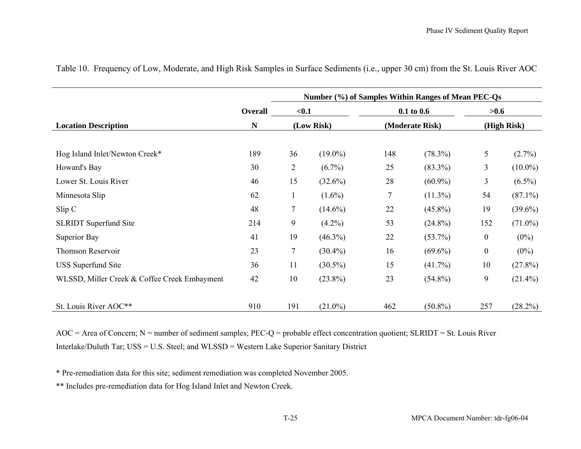|                                              |                | Number (%) of Samples Within Ranges of Mean PEC-Qs |            |                                   |            |                     |            |  |
|----------------------------------------------|----------------|----------------------------------------------------|------------|-----------------------------------|------------|---------------------|------------|--|
|                                              | <b>Overall</b> | $0.1$<br>(Low Risk)                                |            | $0.1$ to $0.6$<br>(Moderate Risk) |            | >0.6<br>(High Risk) |            |  |
| <b>Location Description</b>                  | ${\bf N}$      |                                                    |            |                                   |            |                     |            |  |
|                                              |                |                                                    |            |                                   |            |                     |            |  |
| Hog Island Inlet/Newton Creek*               | 189            | 36                                                 | $(19.0\%)$ | 148                               | $(78.3\%)$ | 5                   | $(2.7\%)$  |  |
| Howard's Bay                                 | 30             | $\overline{c}$                                     | $(6.7\%)$  | 25                                | $(83.3\%)$ | 3                   | $(10.0\%)$ |  |
| Lower St. Louis River                        | 46             | 15                                                 | $(32.6\%)$ | 28                                | $(60.9\%)$ | 3                   | $(6.5\%)$  |  |
| Minnesota Slip                               | 62             | 1                                                  | $(1.6\%)$  | $\tau$                            | $(11.3\%)$ | 54                  | $(87.1\%)$ |  |
| Slip C                                       | 48             | $\tau$                                             | $(14.6\%)$ | 22                                | $(45.8\%)$ | 19                  | $(39.6\%)$ |  |
| <b>SLRIDT</b> Superfund Site                 | 214            | 9                                                  | $(4.2\%)$  | 53                                | $(24.8\%)$ | 152                 | $(71.0\%)$ |  |
| Superior Bay                                 | 41             | 19                                                 | $(46.3\%)$ | 22                                | $(53.7\%)$ | $\boldsymbol{0}$    | $(0\%)$    |  |
| Thomson Reservoir                            | 23             | $\tau$                                             | $(30.4\%)$ | 16                                | $(69.6\%)$ | $\boldsymbol{0}$    | $(0\%)$    |  |
| <b>USS</b> Superfund Site                    | 36             | 11                                                 | $(30.5\%)$ | 15                                | $(41.7\%)$ | 10                  | $(27.8\%)$ |  |
| WLSSD, Miller Creek & Coffee Creek Embayment | 42             | 10                                                 | $(23.8\%)$ | 23                                | $(54.8\%)$ | 9                   | $(21.4\%)$ |  |
|                                              |                |                                                    |            |                                   |            |                     |            |  |
| St. Louis River AOC**                        | 910            | 191                                                | $(21.0\%)$ | 462                               | $(50.8\%)$ | 257                 | (28.2%)    |  |

Table 10. Frequency of Low, Moderate, and High Risk Samples in Surface Sediments (i.e., upper 30 cm) from the St. Louis River AOC

AOC = Area of Concern; N = number of sediment samples; PEC-Q = probable effect concentration quotient; SLRIDT = St. Louis River Interlake/Duluth Tar; USS = U.S. Steel; and WLSSD = Western Lake Superior Sanitary District

\* Pre-remediation data for this site; sediment remediation was completed November 2005.

\*\* Includes pre-remediation data for Hog Island Inlet and Newton Creek.